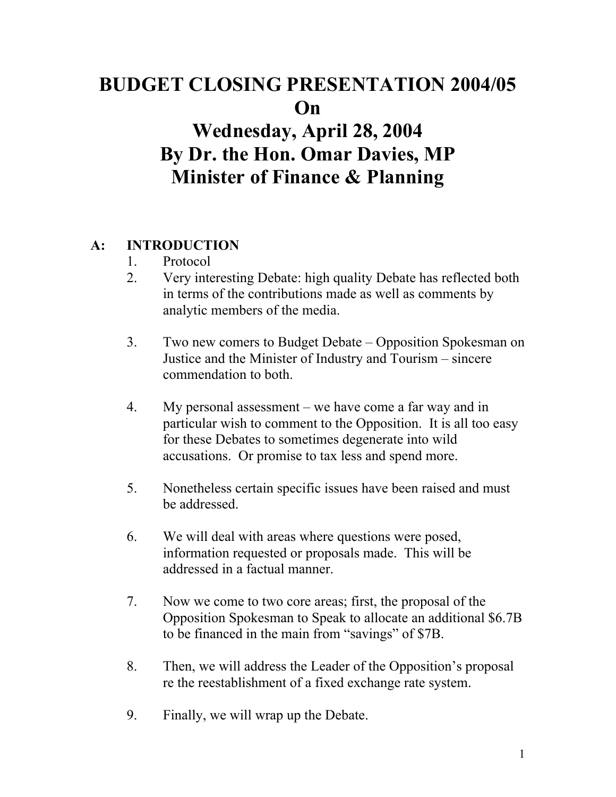# **BUDGET CLOSING PRESENTATION 2004/05 On**

# **Wednesday, April 28, 2004 By Dr. the Hon. Omar Davies, MP Minister of Finance & Planning**

### **A: INTRODUCTION**

- 1. Protocol
- 2. Very interesting Debate: high quality Debate has reflected both in terms of the contributions made as well as comments by analytic members of the media.
- 3. Two new comers to Budget Debate Opposition Spokesman on Justice and the Minister of Industry and Tourism – sincere commendation to both.
- 4. My personal assessment we have come a far way and in particular wish to comment to the Opposition. It is all too easy for these Debates to sometimes degenerate into wild accusations. Or promise to tax less and spend more.
- 5. Nonetheless certain specific issues have been raised and must be addressed.
- 6. We will deal with areas where questions were posed, information requested or proposals made. This will be addressed in a factual manner.
- 7. Now we come to two core areas; first, the proposal of the Opposition Spokesman to Speak to allocate an additional \$6.7B to be financed in the main from "savings" of \$7B.
- 8. Then, we will address the Leader of the Opposition's proposal re the reestablishment of a fixed exchange rate system.
- 9. Finally, we will wrap up the Debate.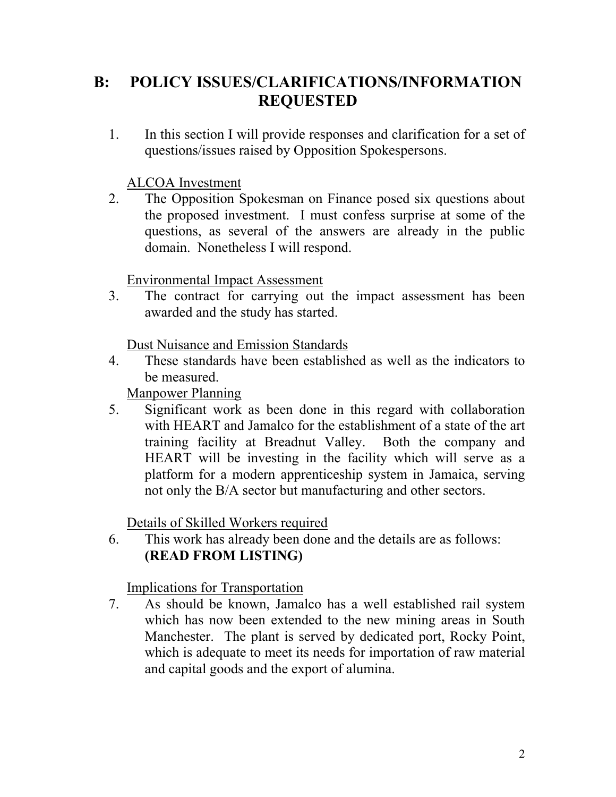# **B: POLICY ISSUES/CLARIFICATIONS/INFORMATION REQUESTED**

1. In this section I will provide responses and clarification for a set of questions/issues raised by Opposition Spokespersons.

#### ALCOA Investment

2. The Opposition Spokesman on Finance posed six questions about the proposed investment. I must confess surprise at some of the questions, as several of the answers are already in the public domain. Nonetheless I will respond.

#### Environmental Impact Assessment

3. The contract for carrying out the impact assessment has been awarded and the study has started.

#### Dust Nuisance and Emission Standards

4. These standards have been established as well as the indicators to be measured.

#### Manpower Planning

5. Significant work as been done in this regard with collaboration with HEART and Jamalco for the establishment of a state of the art training facility at Breadnut Valley. Both the company and HEART will be investing in the facility which will serve as a platform for a modern apprenticeship system in Jamaica, serving not only the B/A sector but manufacturing and other sectors.

#### Details of Skilled Workers required

6. This work has already been done and the details are as follows: **(READ FROM LISTING)** 

#### Implications for Transportation

7. As should be known, Jamalco has a well established rail system which has now been extended to the new mining areas in South Manchester. The plant is served by dedicated port, Rocky Point, which is adequate to meet its needs for importation of raw material and capital goods and the export of alumina.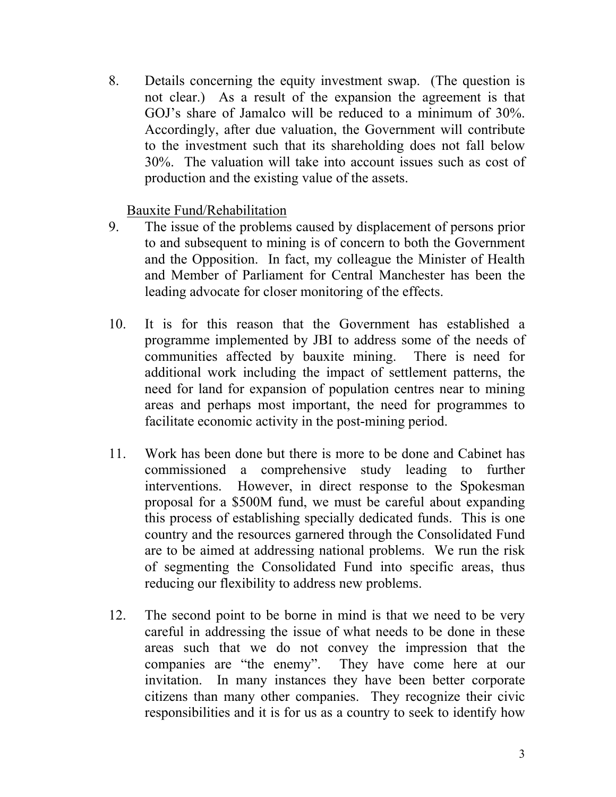8. Details concerning the equity investment swap. (The question is not clear.) As a result of the expansion the agreement is that GOJ's share of Jamalco will be reduced to a minimum of 30%. Accordingly, after due valuation, the Government will contribute to the investment such that its shareholding does not fall below 30%. The valuation will take into account issues such as cost of production and the existing value of the assets.

Bauxite Fund/Rehabilitation

- 9. The issue of the problems caused by displacement of persons prior to and subsequent to mining is of concern to both the Government and the Opposition. In fact, my colleague the Minister of Health and Member of Parliament for Central Manchester has been the leading advocate for closer monitoring of the effects.
- 10. It is for this reason that the Government has established a programme implemented by JBI to address some of the needs of communities affected by bauxite mining. There is need for additional work including the impact of settlement patterns, the need for land for expansion of population centres near to mining areas and perhaps most important, the need for programmes to facilitate economic activity in the post-mining period.
- 11. Work has been done but there is more to be done and Cabinet has commissioned a comprehensive study leading to further interventions. However, in direct response to the Spokesman proposal for a \$500M fund, we must be careful about expanding this process of establishing specially dedicated funds. This is one country and the resources garnered through the Consolidated Fund are to be aimed at addressing national problems. We run the risk of segmenting the Consolidated Fund into specific areas, thus reducing our flexibility to address new problems.
- 12. The second point to be borne in mind is that we need to be very careful in addressing the issue of what needs to be done in these areas such that we do not convey the impression that the companies are "the enemy". They have come here at our invitation. In many instances they have been better corporate citizens than many other companies. They recognize their civic responsibilities and it is for us as a country to seek to identify how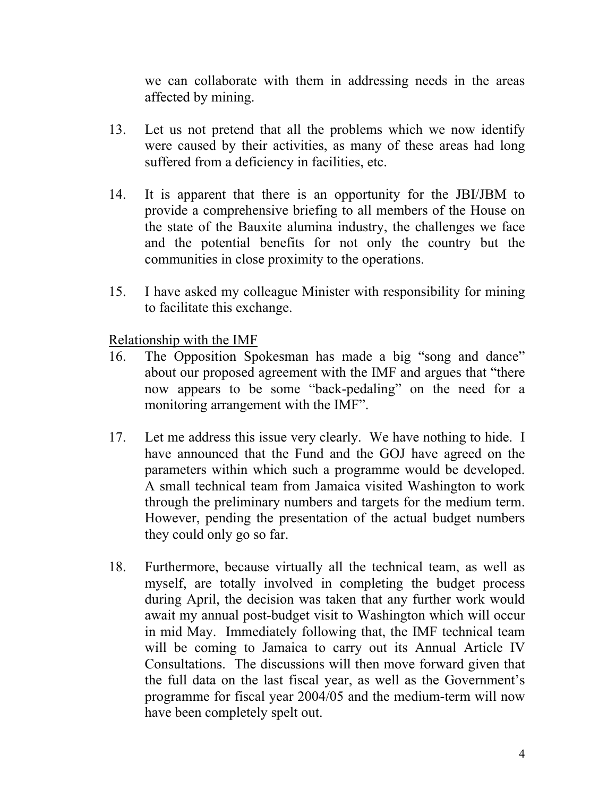we can collaborate with them in addressing needs in the areas affected by mining.

- 13. Let us not pretend that all the problems which we now identify were caused by their activities, as many of these areas had long suffered from a deficiency in facilities, etc.
- 14. It is apparent that there is an opportunity for the JBI/JBM to provide a comprehensive briefing to all members of the House on the state of the Bauxite alumina industry, the challenges we face and the potential benefits for not only the country but the communities in close proximity to the operations.
- 15. I have asked my colleague Minister with responsibility for mining to facilitate this exchange.

Relationship with the IMF

- 16. The Opposition Spokesman has made a big "song and dance" about our proposed agreement with the IMF and argues that "there now appears to be some "back-pedaling" on the need for a monitoring arrangement with the IMF".
- 17. Let me address this issue very clearly. We have nothing to hide. I have announced that the Fund and the GOJ have agreed on the parameters within which such a programme would be developed. A small technical team from Jamaica visited Washington to work through the preliminary numbers and targets for the medium term. However, pending the presentation of the actual budget numbers they could only go so far.
- 18. Furthermore, because virtually all the technical team, as well as myself, are totally involved in completing the budget process during April, the decision was taken that any further work would await my annual post-budget visit to Washington which will occur in mid May. Immediately following that, the IMF technical team will be coming to Jamaica to carry out its Annual Article IV Consultations. The discussions will then move forward given that the full data on the last fiscal year, as well as the Government's programme for fiscal year 2004/05 and the medium-term will now have been completely spelt out.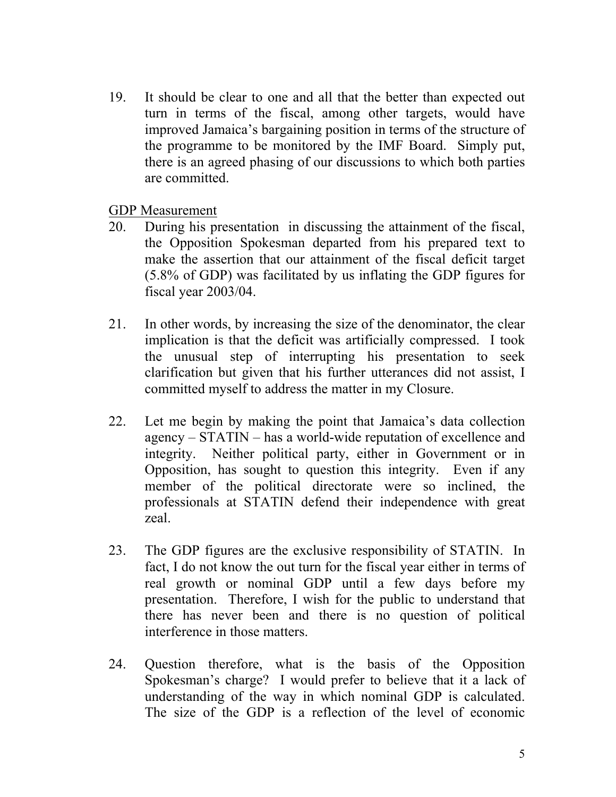19. It should be clear to one and all that the better than expected out turn in terms of the fiscal, among other targets, would have improved Jamaica's bargaining position in terms of the structure of the programme to be monitored by the IMF Board. Simply put, there is an agreed phasing of our discussions to which both parties are committed.

GDP Measurement

- 20. During his presentation in discussing the attainment of the fiscal, the Opposition Spokesman departed from his prepared text to make the assertion that our attainment of the fiscal deficit target (5.8% of GDP) was facilitated by us inflating the GDP figures for fiscal year 2003/04.
- 21. In other words, by increasing the size of the denominator, the clear implication is that the deficit was artificially compressed. I took the unusual step of interrupting his presentation to seek clarification but given that his further utterances did not assist, I committed myself to address the matter in my Closure.
- 22. Let me begin by making the point that Jamaica's data collection agency – STATIN – has a world-wide reputation of excellence and integrity. Neither political party, either in Government or in Opposition, has sought to question this integrity. Even if any member of the political directorate were so inclined, the professionals at STATIN defend their independence with great zeal.
- 23. The GDP figures are the exclusive responsibility of STATIN. In fact, I do not know the out turn for the fiscal year either in terms of real growth or nominal GDP until a few days before my presentation. Therefore, I wish for the public to understand that there has never been and there is no question of political interference in those matters.
- 24. Question therefore, what is the basis of the Opposition Spokesman's charge? I would prefer to believe that it a lack of understanding of the way in which nominal GDP is calculated. The size of the GDP is a reflection of the level of economic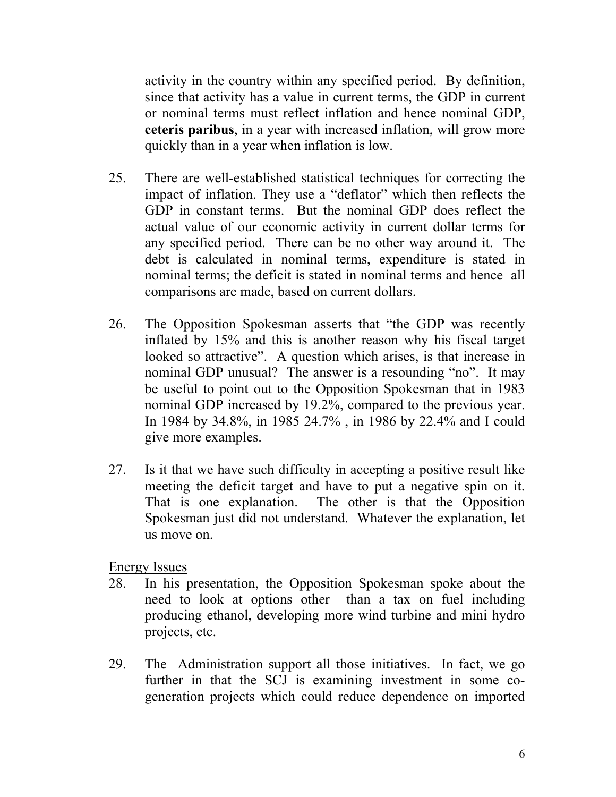activity in the country within any specified period. By definition, since that activity has a value in current terms, the GDP in current or nominal terms must reflect inflation and hence nominal GDP, **ceteris paribus**, in a year with increased inflation, will grow more quickly than in a year when inflation is low.

- 25. There are well-established statistical techniques for correcting the impact of inflation. They use a "deflator" which then reflects the GDP in constant terms. But the nominal GDP does reflect the actual value of our economic activity in current dollar terms for any specified period. There can be no other way around it. The debt is calculated in nominal terms, expenditure is stated in nominal terms; the deficit is stated in nominal terms and hence all comparisons are made, based on current dollars.
- 26. The Opposition Spokesman asserts that "the GDP was recently inflated by 15% and this is another reason why his fiscal target looked so attractive". A question which arises, is that increase in nominal GDP unusual? The answer is a resounding "no". It may be useful to point out to the Opposition Spokesman that in 1983 nominal GDP increased by 19.2%, compared to the previous year. In 1984 by 34.8%, in 1985 24.7% , in 1986 by 22.4% and I could give more examples.
- 27. Is it that we have such difficulty in accepting a positive result like meeting the deficit target and have to put a negative spin on it. That is one explanation. The other is that the Opposition Spokesman just did not understand. Whatever the explanation, let us move on.

Energy Issues

- 28. In his presentation, the Opposition Spokesman spoke about the need to look at options other than a tax on fuel including producing ethanol, developing more wind turbine and mini hydro projects, etc.
- 29. The Administration support all those initiatives. In fact, we go further in that the SCJ is examining investment in some cogeneration projects which could reduce dependence on imported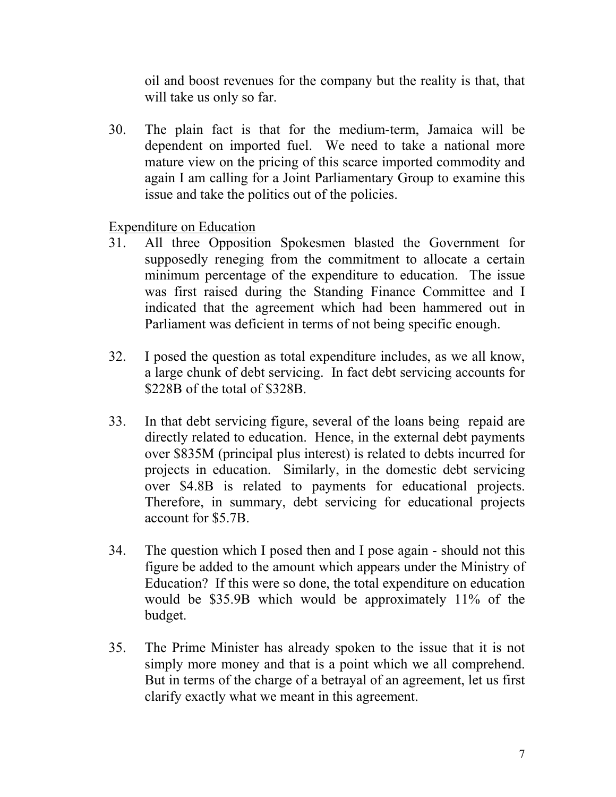oil and boost revenues for the company but the reality is that, that will take us only so far.

30. The plain fact is that for the medium-term, Jamaica will be dependent on imported fuel. We need to take a national more mature view on the pricing of this scarce imported commodity and again I am calling for a Joint Parliamentary Group to examine this issue and take the politics out of the policies.

Expenditure on Education

- 31. All three Opposition Spokesmen blasted the Government for supposedly reneging from the commitment to allocate a certain minimum percentage of the expenditure to education. The issue was first raised during the Standing Finance Committee and I indicated that the agreement which had been hammered out in Parliament was deficient in terms of not being specific enough.
- 32. I posed the question as total expenditure includes, as we all know, a large chunk of debt servicing. In fact debt servicing accounts for \$228B of the total of \$328B.
- 33. In that debt servicing figure, several of the loans being repaid are directly related to education. Hence, in the external debt payments over \$835M (principal plus interest) is related to debts incurred for projects in education. Similarly, in the domestic debt servicing over \$4.8B is related to payments for educational projects. Therefore, in summary, debt servicing for educational projects account for \$5.7B.
- 34. The question which I posed then and I pose again should not this figure be added to the amount which appears under the Ministry of Education? If this were so done, the total expenditure on education would be \$35.9B which would be approximately 11% of the budget.
- 35. The Prime Minister has already spoken to the issue that it is not simply more money and that is a point which we all comprehend. But in terms of the charge of a betrayal of an agreement, let us first clarify exactly what we meant in this agreement.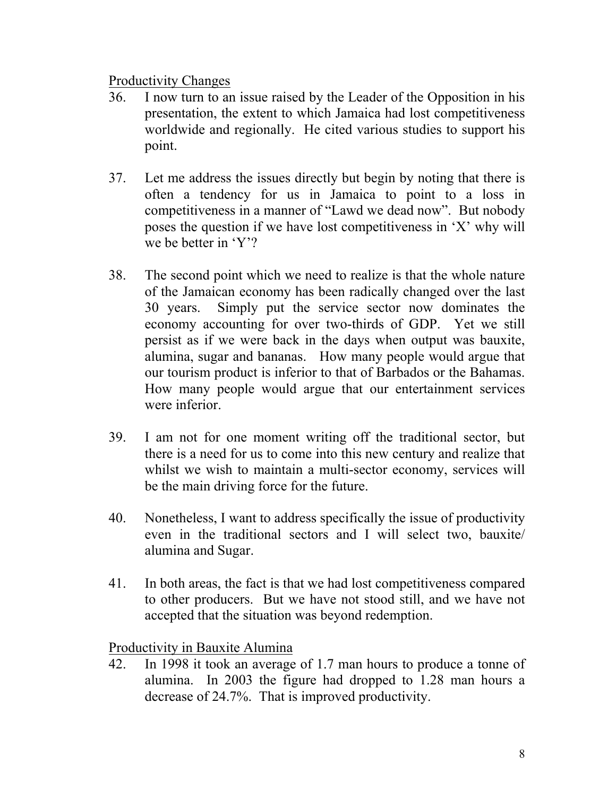#### Productivity Changes

- 36. I now turn to an issue raised by the Leader of the Opposition in his presentation, the extent to which Jamaica had lost competitiveness worldwide and regionally. He cited various studies to support his point.
- 37. Let me address the issues directly but begin by noting that there is often a tendency for us in Jamaica to point to a loss in competitiveness in a manner of "Lawd we dead now". But nobody poses the question if we have lost competitiveness in 'X' why will we be better in 'Y'?
- 38. The second point which we need to realize is that the whole nature of the Jamaican economy has been radically changed over the last 30 years. Simply put the service sector now dominates the economy accounting for over two-thirds of GDP. Yet we still persist as if we were back in the days when output was bauxite, alumina, sugar and bananas. How many people would argue that our tourism product is inferior to that of Barbados or the Bahamas. How many people would argue that our entertainment services were inferior
- 39. I am not for one moment writing off the traditional sector, but there is a need for us to come into this new century and realize that whilst we wish to maintain a multi-sector economy, services will be the main driving force for the future.
- 40. Nonetheless, I want to address specifically the issue of productivity even in the traditional sectors and I will select two, bauxite/ alumina and Sugar.
- 41. In both areas, the fact is that we had lost competitiveness compared to other producers. But we have not stood still, and we have not accepted that the situation was beyond redemption.

Productivity in Bauxite Alumina

42. In 1998 it took an average of 1.7 man hours to produce a tonne of alumina. In 2003 the figure had dropped to 1.28 man hours a decrease of 24.7%. That is improved productivity.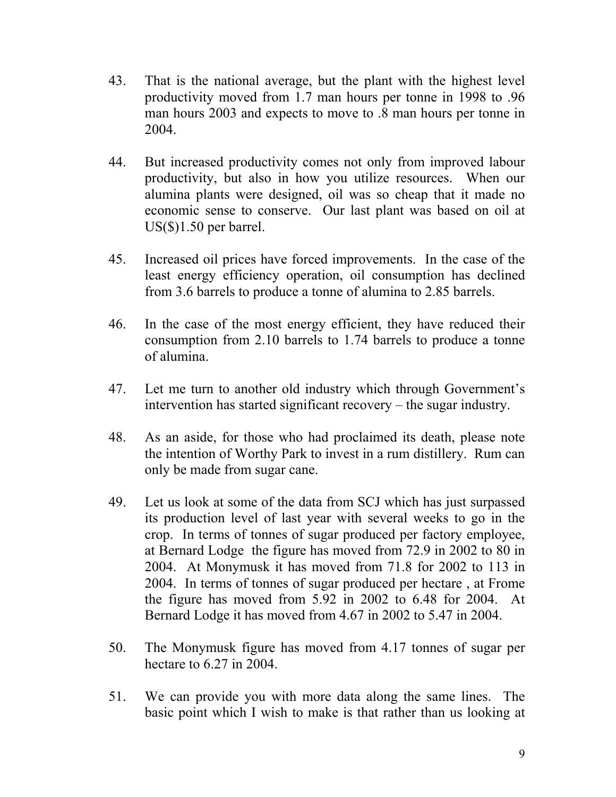- 43. That is the national average, but the plant with the highest level productivity moved from 1.7 man hours per tonne in 1998 to .96 man hours 2003 and expects to move to .8 man hours per tonne in 2004.
- 44. But increased productivity comes not only from improved labour productivity, but also in how you utilize resources. When our alumina plants were designed, oil was so cheap that it made no economic sense to conserve. Our last plant was based on oil at US(\$)1.50 per barrel.
- 45. Increased oil prices have forced improvements. In the case of the least energy efficiency operation, oil consumption has declined from 3.6 barrels to produce a tonne of alumina to 2.85 barrels.
- 46. In the case of the most energy efficient, they have reduced their consumption from 2.10 barrels to 1.74 barrels to produce a tonne of alumina.
- 47. Let me turn to another old industry which through Government's intervention has started significant recovery – the sugar industry.
- 48. As an aside, for those who had proclaimed its death, please note the intention of Worthy Park to invest in a rum distillery. Rum can only be made from sugar cane.
- 49. Let us look at some of the data from SCJ which has just surpassed its production level of last year with several weeks to go in the crop. In terms of tonnes of sugar produced per factory employee, at Bernard Lodge the figure has moved from 72.9 in 2002 to 80 in 2004. At Monymusk it has moved from 71.8 for 2002 to 113 in 2004. In terms of tonnes of sugar produced per hectare , at Frome the figure has moved from 5.92 in 2002 to 6.48 for 2004. At Bernard Lodge it has moved from 4.67 in 2002 to 5.47 in 2004.
- 50. The Monymusk figure has moved from 4.17 tonnes of sugar per hectare to 6.27 in 2004.
- 51. We can provide you with more data along the same lines. The basic point which I wish to make is that rather than us looking at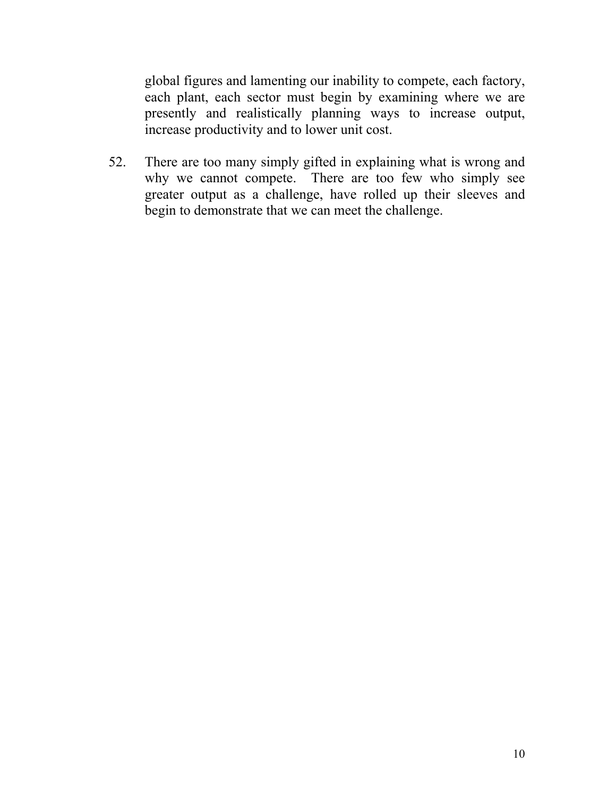global figures and lamenting our inability to compete, each factory, each plant, each sector must begin by examining where we are presently and realistically planning ways to increase output, increase productivity and to lower unit cost.

52. There are too many simply gifted in explaining what is wrong and why we cannot compete. There are too few who simply see greater output as a challenge, have rolled up their sleeves and begin to demonstrate that we can meet the challenge.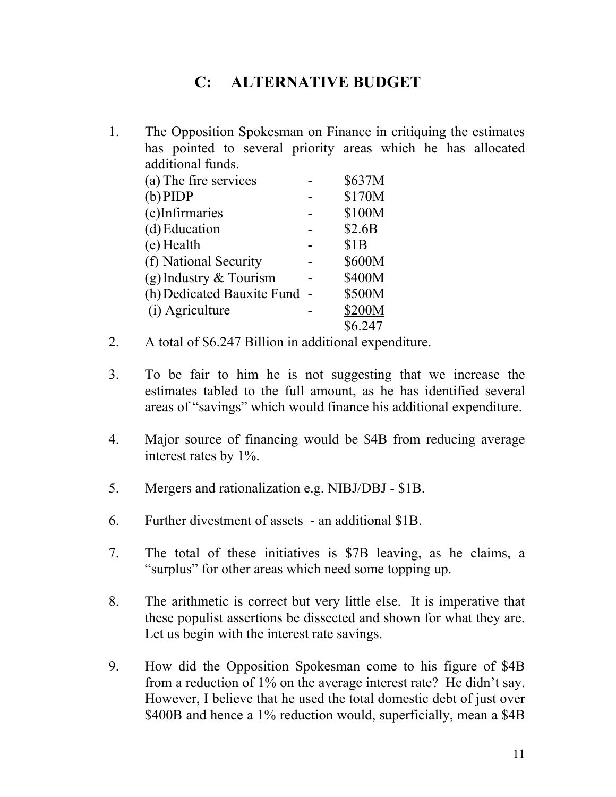# **C: ALTERNATIVE BUDGET**

1. The Opposition Spokesman on Finance in critiquing the estimates has pointed to several priority areas which he has allocated additional funds.

| (a) The fire services        | \$637M  |
|------------------------------|---------|
| $(b)$ PIDP                   | \$170M  |
| (c)Infirmaries               | \$100M  |
| (d) Education                | \$2.6B  |
| (e) Health                   | \$1B    |
| (f) National Security        | \$600M  |
| (g) Industry $&$ Tourism     | \$400M  |
| (h) Dedicated Bauxite Fund - | \$500M  |
| (i) Agriculture              | \$200M  |
|                              | \$6.247 |

- 2. A total of \$6.247 Billion in additional expenditure.
- 3. To be fair to him he is not suggesting that we increase the estimates tabled to the full amount, as he has identified several areas of "savings" which would finance his additional expenditure.
- 4. Major source of financing would be \$4B from reducing average interest rates by 1%.
- 5. Mergers and rationalization e.g. NIBJ/DBJ \$1B.
- 6. Further divestment of assets an additional \$1B.
- 7. The total of these initiatives is \$7B leaving, as he claims, a "surplus" for other areas which need some topping up.
- 8. The arithmetic is correct but very little else. It is imperative that these populist assertions be dissected and shown for what they are. Let us begin with the interest rate savings.
- 9. How did the Opposition Spokesman come to his figure of \$4B from a reduction of 1% on the average interest rate? He didn't say. However, I believe that he used the total domestic debt of just over \$400B and hence a 1% reduction would, superficially, mean a \$4B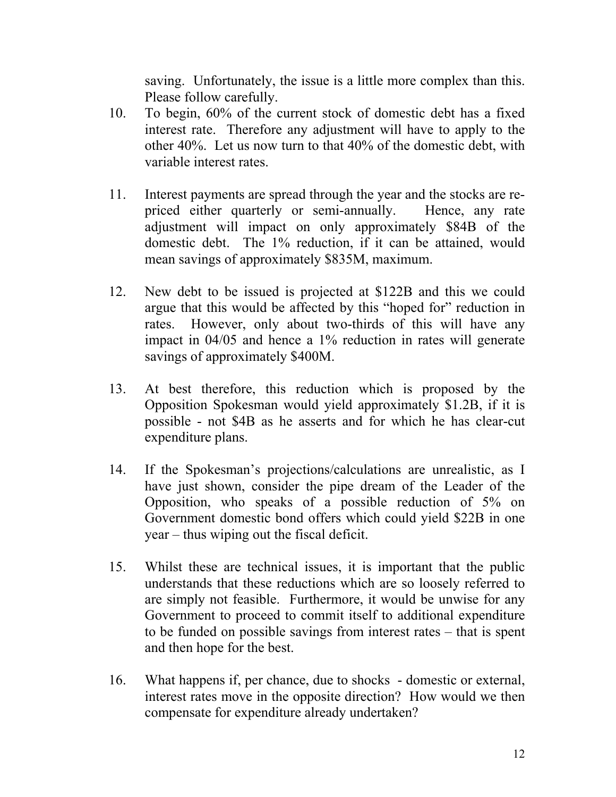saving. Unfortunately, the issue is a little more complex than this. Please follow carefully.

- 10. To begin, 60% of the current stock of domestic debt has a fixed interest rate. Therefore any adjustment will have to apply to the other 40%. Let us now turn to that 40% of the domestic debt, with variable interest rates.
- 11. Interest payments are spread through the year and the stocks are repriced either quarterly or semi-annually. Hence, any rate adjustment will impact on only approximately \$84B of the domestic debt. The 1% reduction, if it can be attained, would mean savings of approximately \$835M, maximum.
- 12. New debt to be issued is projected at \$122B and this we could argue that this would be affected by this "hoped for" reduction in rates. However, only about two-thirds of this will have any impact in 04/05 and hence a 1% reduction in rates will generate savings of approximately \$400M.
- 13. At best therefore, this reduction which is proposed by the Opposition Spokesman would yield approximately \$1.2B, if it is possible - not \$4B as he asserts and for which he has clear-cut expenditure plans.
- 14. If the Spokesman's projections/calculations are unrealistic, as I have just shown, consider the pipe dream of the Leader of the Opposition, who speaks of a possible reduction of 5% on Government domestic bond offers which could yield \$22B in one year – thus wiping out the fiscal deficit.
- 15. Whilst these are technical issues, it is important that the public understands that these reductions which are so loosely referred to are simply not feasible. Furthermore, it would be unwise for any Government to proceed to commit itself to additional expenditure to be funded on possible savings from interest rates – that is spent and then hope for the best.
- 16. What happens if, per chance, due to shocks domestic or external, interest rates move in the opposite direction? How would we then compensate for expenditure already undertaken?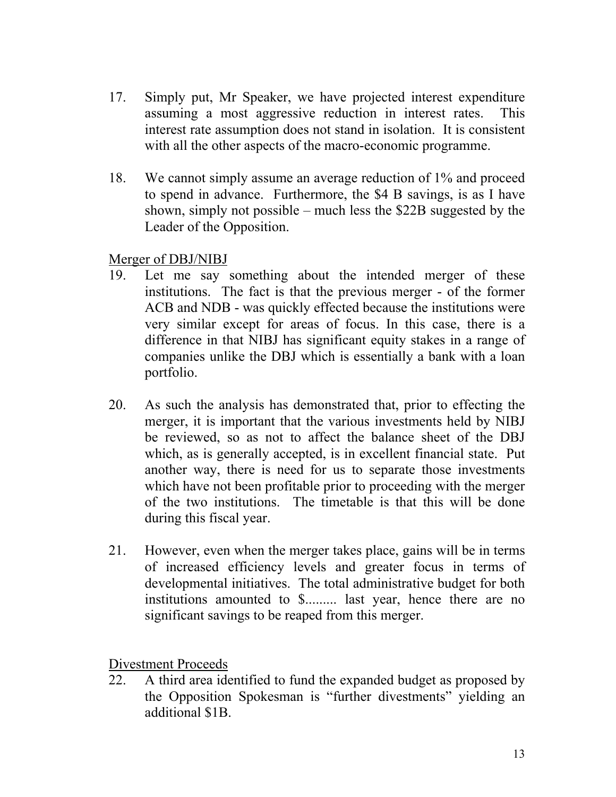- 17. Simply put, Mr Speaker, we have projected interest expenditure assuming a most aggressive reduction in interest rates. This interest rate assumption does not stand in isolation. It is consistent with all the other aspects of the macro-economic programme.
- 18. We cannot simply assume an average reduction of 1% and proceed to spend in advance. Furthermore, the \$4 B savings, is as I have shown, simply not possible – much less the \$22B suggested by the Leader of the Opposition.

#### Merger of DBJ/NIBJ

- 19. Let me say something about the intended merger of these institutions. The fact is that the previous merger - of the former ACB and NDB - was quickly effected because the institutions were very similar except for areas of focus. In this case, there is a difference in that NIBJ has significant equity stakes in a range of companies unlike the DBJ which is essentially a bank with a loan portfolio.
- 20. As such the analysis has demonstrated that, prior to effecting the merger, it is important that the various investments held by NIBJ be reviewed, so as not to affect the balance sheet of the DBJ which, as is generally accepted, is in excellent financial state. Put another way, there is need for us to separate those investments which have not been profitable prior to proceeding with the merger of the two institutions. The timetable is that this will be done during this fiscal year.
- 21. However, even when the merger takes place, gains will be in terms of increased efficiency levels and greater focus in terms of developmental initiatives. The total administrative budget for both institutions amounted to \$......... last year, hence there are no significant savings to be reaped from this merger.

Divestment Proceeds

22. A third area identified to fund the expanded budget as proposed by the Opposition Spokesman is "further divestments" yielding an additional \$1B.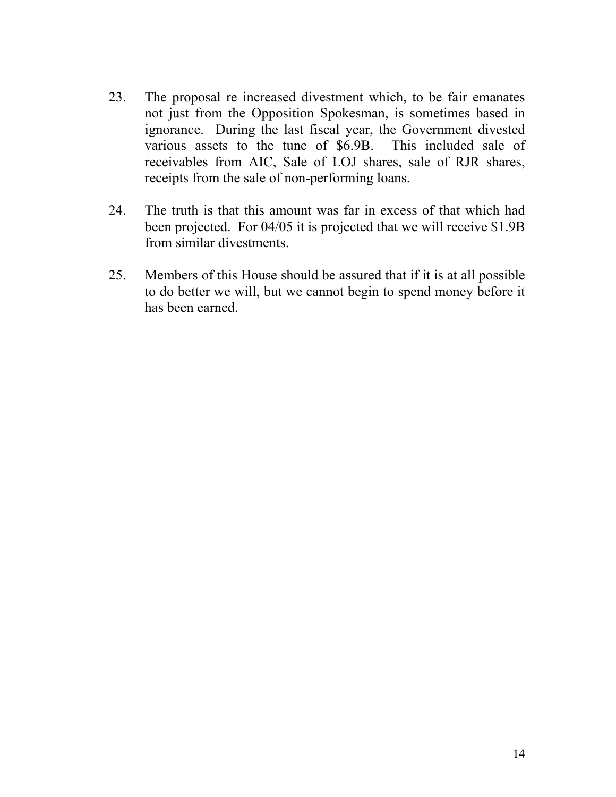- 23. The proposal re increased divestment which, to be fair emanates not just from the Opposition Spokesman, is sometimes based in ignorance. During the last fiscal year, the Government divested various assets to the tune of \$6.9B. This included sale of receivables from AIC, Sale of LOJ shares, sale of RJR shares, receipts from the sale of non-performing loans.
- 24. The truth is that this amount was far in excess of that which had been projected. For 04/05 it is projected that we will receive \$1.9B from similar divestments.
- 25. Members of this House should be assured that if it is at all possible to do better we will, but we cannot begin to spend money before it has been earned.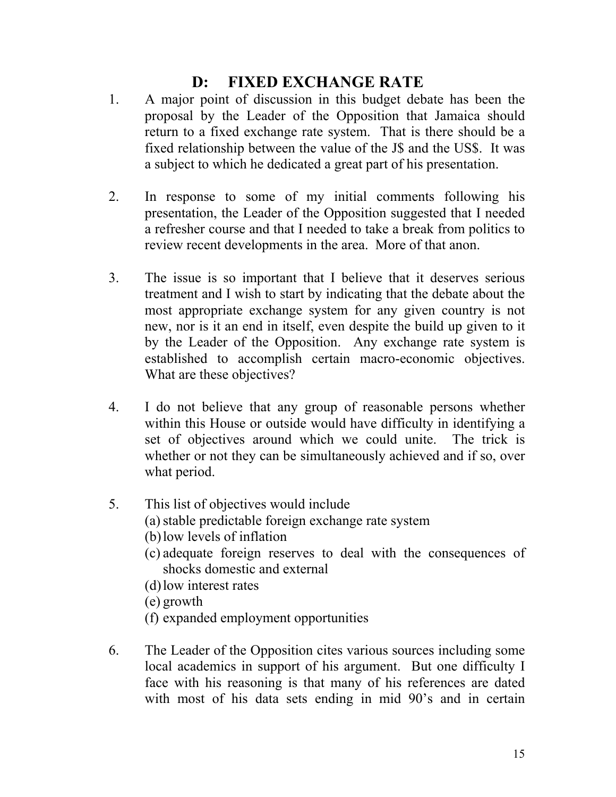## **D: FIXED EXCHANGE RATE**

- 1. A major point of discussion in this budget debate has been the proposal by the Leader of the Opposition that Jamaica should return to a fixed exchange rate system. That is there should be a fixed relationship between the value of the J\$ and the US\$. It was a subject to which he dedicated a great part of his presentation.
- 2. In response to some of my initial comments following his presentation, the Leader of the Opposition suggested that I needed a refresher course and that I needed to take a break from politics to review recent developments in the area. More of that anon.
- 3. The issue is so important that I believe that it deserves serious treatment and I wish to start by indicating that the debate about the most appropriate exchange system for any given country is not new, nor is it an end in itself, even despite the build up given to it by the Leader of the Opposition. Any exchange rate system is established to accomplish certain macro-economic objectives. What are these objectives?
- 4. I do not believe that any group of reasonable persons whether within this House or outside would have difficulty in identifying a set of objectives around which we could unite. The trick is whether or not they can be simultaneously achieved and if so, over what period.
- 5. This list of objectives would include (a) stable predictable foreign exchange rate system (b) low levels of inflation
	- (c) adequate foreign reserves to deal with the consequences of shocks domestic and external
	- (d) low interest rates
	- (e) growth
	- (f) expanded employment opportunities
- 6. The Leader of the Opposition cites various sources including some local academics in support of his argument. But one difficulty I face with his reasoning is that many of his references are dated with most of his data sets ending in mid 90's and in certain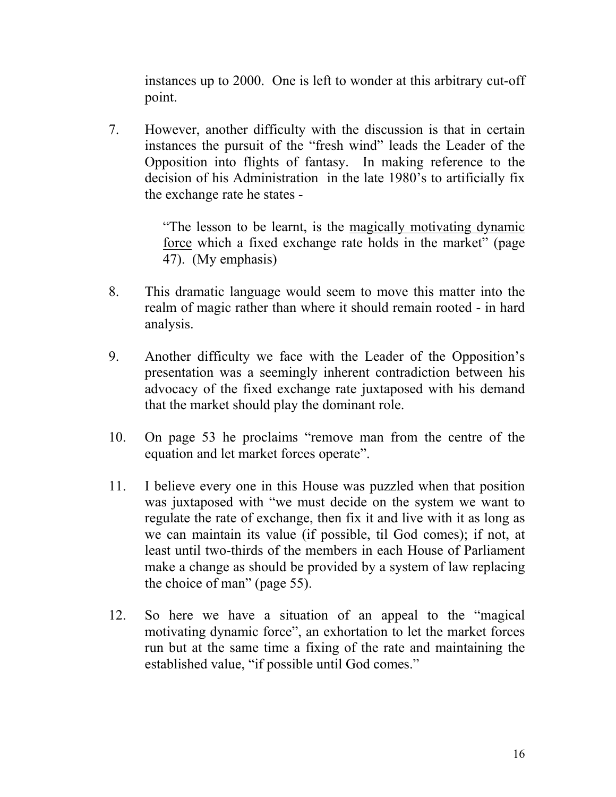instances up to 2000. One is left to wonder at this arbitrary cut-off point.

7. However, another difficulty with the discussion is that in certain instances the pursuit of the "fresh wind" leads the Leader of the Opposition into flights of fantasy. In making reference to the decision of his Administration in the late 1980's to artificially fix the exchange rate he states -

> "The lesson to be learnt, is the magically motivating dynamic force which a fixed exchange rate holds in the market" (page 47). (My emphasis)

- 8. This dramatic language would seem to move this matter into the realm of magic rather than where it should remain rooted - in hard analysis.
- 9. Another difficulty we face with the Leader of the Opposition's presentation was a seemingly inherent contradiction between his advocacy of the fixed exchange rate juxtaposed with his demand that the market should play the dominant role.
- 10. On page 53 he proclaims "remove man from the centre of the equation and let market forces operate".
- 11. I believe every one in this House was puzzled when that position was juxtaposed with "we must decide on the system we want to regulate the rate of exchange, then fix it and live with it as long as we can maintain its value (if possible, til God comes); if not, at least until two-thirds of the members in each House of Parliament make a change as should be provided by a system of law replacing the choice of man" (page 55).
- 12. So here we have a situation of an appeal to the "magical motivating dynamic force", an exhortation to let the market forces run but at the same time a fixing of the rate and maintaining the established value, "if possible until God comes."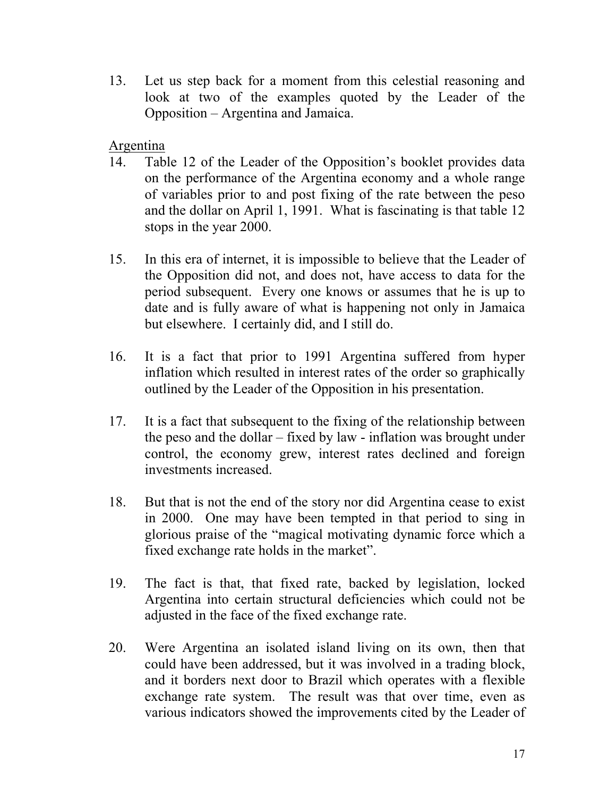13. Let us step back for a moment from this celestial reasoning and look at two of the examples quoted by the Leader of the Opposition – Argentina and Jamaica.

Argentina

- 14. Table 12 of the Leader of the Opposition's booklet provides data on the performance of the Argentina economy and a whole range of variables prior to and post fixing of the rate between the peso and the dollar on April 1, 1991. What is fascinating is that table 12 stops in the year 2000.
- 15. In this era of internet, it is impossible to believe that the Leader of the Opposition did not, and does not, have access to data for the period subsequent. Every one knows or assumes that he is up to date and is fully aware of what is happening not only in Jamaica but elsewhere. I certainly did, and I still do.
- 16. It is a fact that prior to 1991 Argentina suffered from hyper inflation which resulted in interest rates of the order so graphically outlined by the Leader of the Opposition in his presentation.
- 17. It is a fact that subsequent to the fixing of the relationship between the peso and the dollar – fixed by law - inflation was brought under control, the economy grew, interest rates declined and foreign investments increased.
- 18. But that is not the end of the story nor did Argentina cease to exist in 2000. One may have been tempted in that period to sing in glorious praise of the "magical motivating dynamic force which a fixed exchange rate holds in the market".
- 19. The fact is that, that fixed rate, backed by legislation, locked Argentina into certain structural deficiencies which could not be adjusted in the face of the fixed exchange rate.
- 20. Were Argentina an isolated island living on its own, then that could have been addressed, but it was involved in a trading block, and it borders next door to Brazil which operates with a flexible exchange rate system. The result was that over time, even as various indicators showed the improvements cited by the Leader of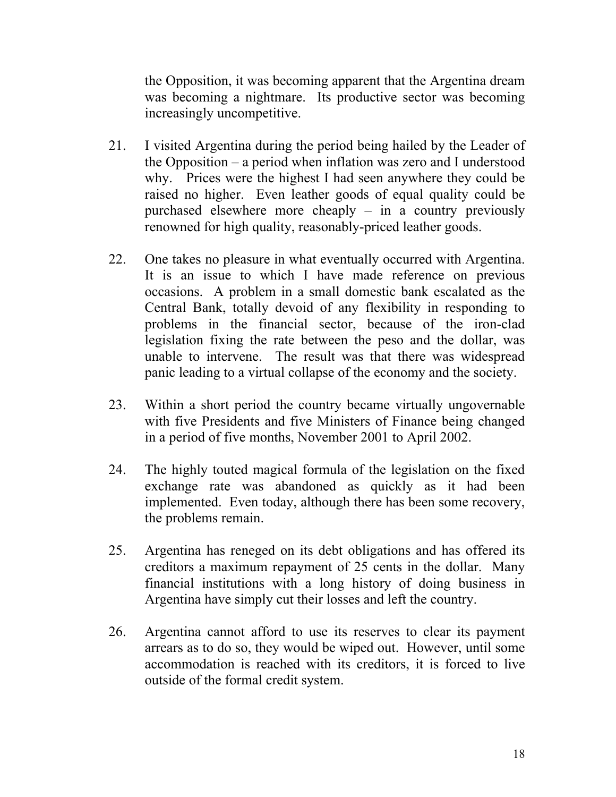the Opposition, it was becoming apparent that the Argentina dream was becoming a nightmare. Its productive sector was becoming increasingly uncompetitive.

- 21. I visited Argentina during the period being hailed by the Leader of the Opposition – a period when inflation was zero and I understood why. Prices were the highest I had seen anywhere they could be raised no higher. Even leather goods of equal quality could be purchased elsewhere more cheaply – in a country previously renowned for high quality, reasonably-priced leather goods.
- 22. One takes no pleasure in what eventually occurred with Argentina. It is an issue to which I have made reference on previous occasions. A problem in a small domestic bank escalated as the Central Bank, totally devoid of any flexibility in responding to problems in the financial sector, because of the iron-clad legislation fixing the rate between the peso and the dollar, was unable to intervene. The result was that there was widespread panic leading to a virtual collapse of the economy and the society.
- 23. Within a short period the country became virtually ungovernable with five Presidents and five Ministers of Finance being changed in a period of five months, November 2001 to April 2002.
- 24. The highly touted magical formula of the legislation on the fixed exchange rate was abandoned as quickly as it had been implemented. Even today, although there has been some recovery, the problems remain.
- 25. Argentina has reneged on its debt obligations and has offered its creditors a maximum repayment of 25 cents in the dollar. Many financial institutions with a long history of doing business in Argentina have simply cut their losses and left the country.
- 26. Argentina cannot afford to use its reserves to clear its payment arrears as to do so, they would be wiped out. However, until some accommodation is reached with its creditors, it is forced to live outside of the formal credit system.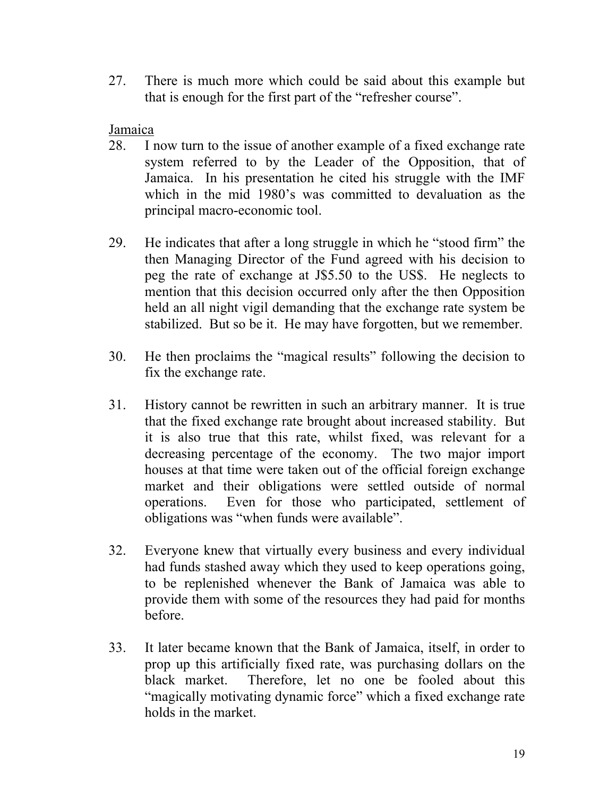27. There is much more which could be said about this example but that is enough for the first part of the "refresher course".

#### Jamaica

- 28. I now turn to the issue of another example of a fixed exchange rate system referred to by the Leader of the Opposition, that of Jamaica. In his presentation he cited his struggle with the IMF which in the mid 1980's was committed to devaluation as the principal macro-economic tool.
- 29. He indicates that after a long struggle in which he "stood firm" the then Managing Director of the Fund agreed with his decision to peg the rate of exchange at J\$5.50 to the US\$. He neglects to mention that this decision occurred only after the then Opposition held an all night vigil demanding that the exchange rate system be stabilized. But so be it. He may have forgotten, but we remember.
- 30. He then proclaims the "magical results" following the decision to fix the exchange rate.
- 31. History cannot be rewritten in such an arbitrary manner. It is true that the fixed exchange rate brought about increased stability. But it is also true that this rate, whilst fixed, was relevant for a decreasing percentage of the economy. The two major import houses at that time were taken out of the official foreign exchange market and their obligations were settled outside of normal operations. Even for those who participated, settlement of obligations was "when funds were available".
- 32. Everyone knew that virtually every business and every individual had funds stashed away which they used to keep operations going, to be replenished whenever the Bank of Jamaica was able to provide them with some of the resources they had paid for months before.
- 33. It later became known that the Bank of Jamaica, itself, in order to prop up this artificially fixed rate, was purchasing dollars on the black market. Therefore, let no one be fooled about this "magically motivating dynamic force" which a fixed exchange rate holds in the market.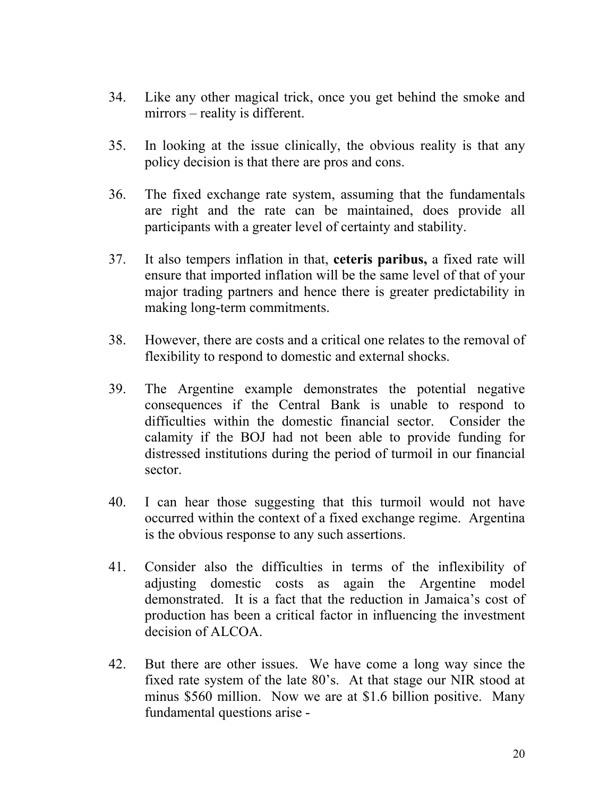- 34. Like any other magical trick, once you get behind the smoke and mirrors – reality is different.
- 35. In looking at the issue clinically, the obvious reality is that any policy decision is that there are pros and cons.
- 36. The fixed exchange rate system, assuming that the fundamentals are right and the rate can be maintained, does provide all participants with a greater level of certainty and stability.
- 37. It also tempers inflation in that, **ceteris paribus,** a fixed rate will ensure that imported inflation will be the same level of that of your major trading partners and hence there is greater predictability in making long-term commitments.
- 38. However, there are costs and a critical one relates to the removal of flexibility to respond to domestic and external shocks.
- 39. The Argentine example demonstrates the potential negative consequences if the Central Bank is unable to respond to difficulties within the domestic financial sector. Consider the calamity if the BOJ had not been able to provide funding for distressed institutions during the period of turmoil in our financial sector.
- 40. I can hear those suggesting that this turmoil would not have occurred within the context of a fixed exchange regime. Argentina is the obvious response to any such assertions.
- 41. Consider also the difficulties in terms of the inflexibility of adjusting domestic costs as again the Argentine model demonstrated. It is a fact that the reduction in Jamaica's cost of production has been a critical factor in influencing the investment decision of ALCOA.
- 42. But there are other issues. We have come a long way since the fixed rate system of the late 80's. At that stage our NIR stood at minus \$560 million. Now we are at \$1.6 billion positive. Many fundamental questions arise -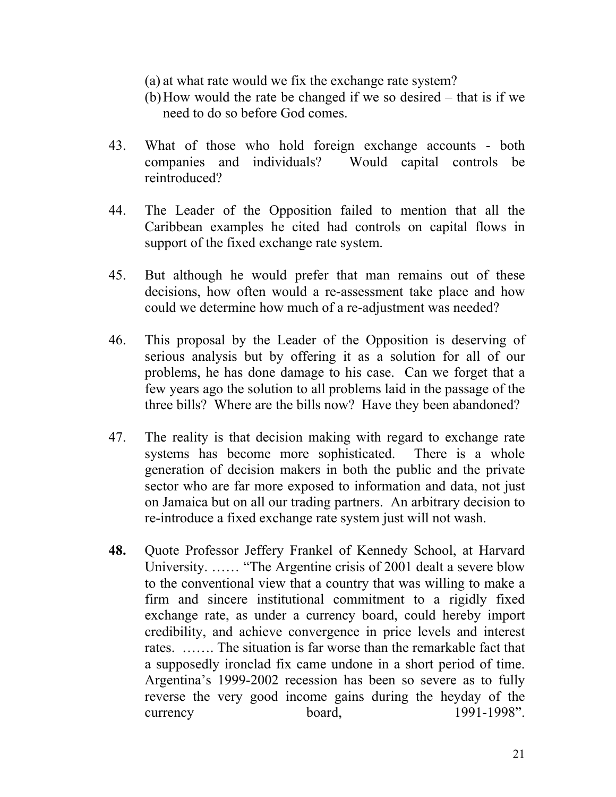(a) at what rate would we fix the exchange rate system?

- (b) How would the rate be changed if we so desired that is if we need to do so before God comes.
- 43. What of those who hold foreign exchange accounts both companies and individuals? Would capital controls be reintroduced?
- 44. The Leader of the Opposition failed to mention that all the Caribbean examples he cited had controls on capital flows in support of the fixed exchange rate system.
- 45. But although he would prefer that man remains out of these decisions, how often would a re-assessment take place and how could we determine how much of a re-adjustment was needed?
- 46. This proposal by the Leader of the Opposition is deserving of serious analysis but by offering it as a solution for all of our problems, he has done damage to his case. Can we forget that a few years ago the solution to all problems laid in the passage of the three bills? Where are the bills now? Have they been abandoned?
- 47. The reality is that decision making with regard to exchange rate systems has become more sophisticated. There is a whole generation of decision makers in both the public and the private sector who are far more exposed to information and data, not just on Jamaica but on all our trading partners. An arbitrary decision to re-introduce a fixed exchange rate system just will not wash.
- **48.** Quote Professor Jeffery Frankel of Kennedy School, at Harvard University. …… "The Argentine crisis of 2001 dealt a severe blow to the conventional view that a country that was willing to make a firm and sincere institutional commitment to a rigidly fixed exchange rate, as under a currency board, could hereby import credibility, and achieve convergence in price levels and interest rates. ……. The situation is far worse than the remarkable fact that a supposedly ironclad fix came undone in a short period of time. Argentina's 1999-2002 recession has been so severe as to fully reverse the very good income gains during the heyday of the currency board, 1991-1998".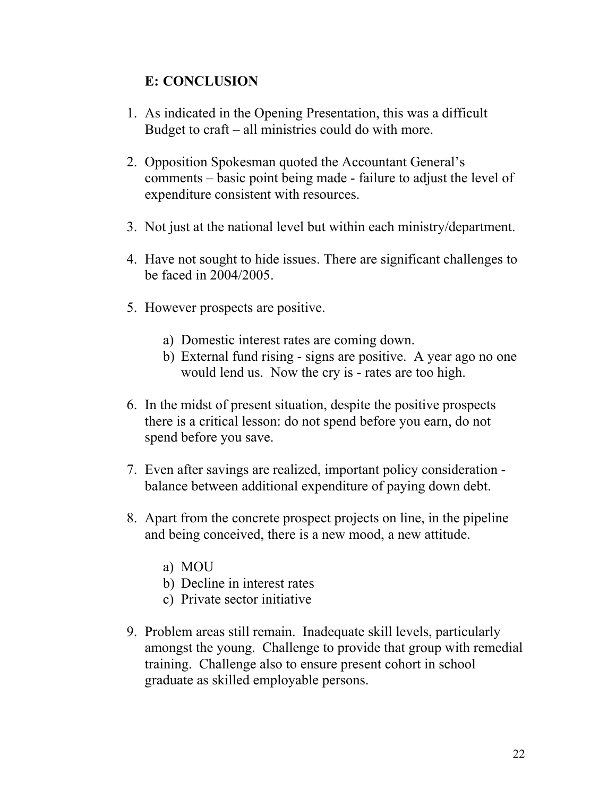#### **E: CONCLUSION**

- 1. As indicated in the Opening Presentation, this was a difficult Budget to craft – all ministries could do with more.
- 2. Opposition Spokesman quoted the Accountant General's comments – basic point being made - failure to adjust the level of expenditure consistent with resources.
- 3. Not just at the national level but within each ministry/department.
- 4. Have not sought to hide issues. There are significant challenges to be faced in 2004/2005.
- 5. However prospects are positive.
	- a) Domestic interest rates are coming down.
	- b) External fund rising signs are positive. A year ago no one would lend us. Now the cry is - rates are too high.
- 6. In the midst of present situation, despite the positive prospects there is a critical lesson: do not spend before you earn, do not spend before you save.
- 7. Even after savings are realized, important policy consideration balance between additional expenditure of paying down debt.
- 8. Apart from the concrete prospect projects on line, in the pipeline and being conceived, there is a new mood, a new attitude.
	- a) MOU
	- b) Decline in interest rates
	- c) Private sector initiative
- 9. Problem areas still remain. Inadequate skill levels, particularly amongst the young. Challenge to provide that group with remedial training. Challenge also to ensure present cohort in school graduate as skilled employable persons.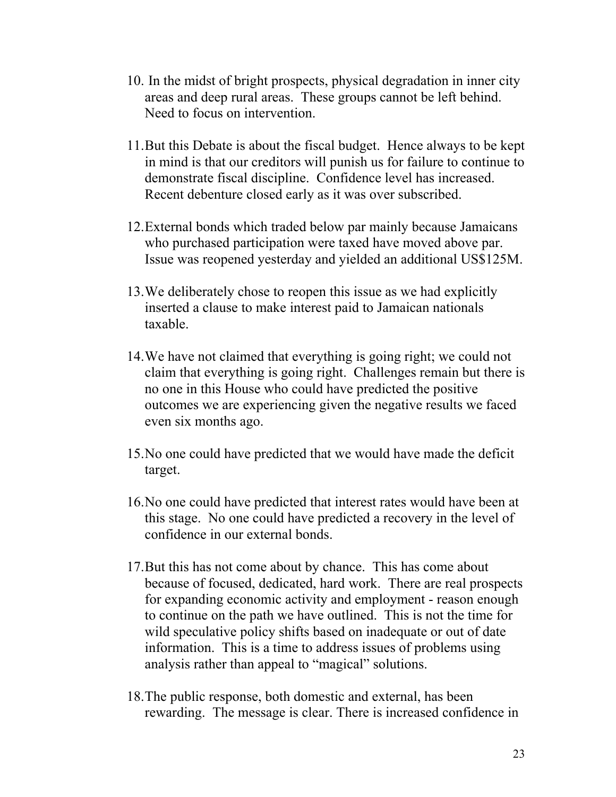- 10.In the midst of bright prospects, physical degradation in inner city areas and deep rural areas. These groups cannot be left behind. Need to focus on intervention.
- 11. But this Debate is about the fiscal budget. Hence always to be kept in mind is that our creditors will punish us for failure to continue to demonstrate fiscal discipline. Confidence level has increased. Recent debenture closed early as it was over subscribed.
- 12. External bonds which traded below par mainly because Jamaicans who purchased participation were taxed have moved above par. Issue was reopened yesterday and yielded an additional US\$125M.
- 13. We deliberately chose to reopen this issue as we had explicitly inserted a clause to make interest paid to Jamaican nationals taxable.
- 14. We have not claimed that everything is going right; we could not claim that everything is going right. Challenges remain but there is no one in this House who could have predicted the positive outcomes we are experiencing given the negative results we faced even six months ago.
- 15. No one could have predicted that we would have made the deficit target.
- 16. No one could have predicted that interest rates would have been at this stage. No one could have predicted a recovery in the level of confidence in our external bonds.
- 17. But this has not come about by chance. This has come about because of focused, dedicated, hard work. There are real prospects for expanding economic activity and employment - reason enough to continue on the path we have outlined. This is not the time for wild speculative policy shifts based on inadequate or out of date information. This is a time to address issues of problems using analysis rather than appeal to "magical" solutions.
- 18. The public response, both domestic and external, has been rewarding. The message is clear. There is increased confidence in